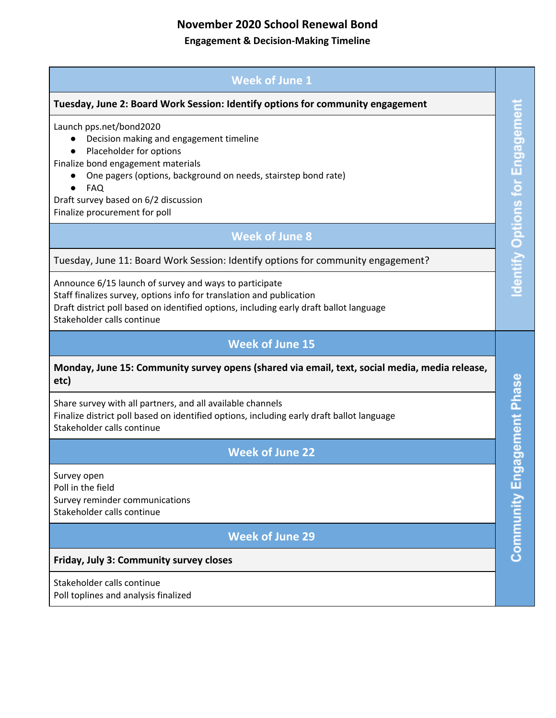# **November 2020 School Renewal Bond**

#### **Engagement & Decision-Making Timeline**

### **Week of June 1**

#### **Tuesday, June 2: Board Work Session: Identify options for community engagement**

Launch pps.net/bond2020

- Decision making and engagement timeline
- Placeholder for options

Finalize bond engagement materials

- One pagers (options, background on needs, stairstep bond rate)
- FAQ

Draft survey based on 6/2 discussion Finalize procurement for poll

#### **Week of June 8**

Tuesday, June 11: Board Work Session: Identify options for community engagement?

Announce 6/15 launch of survey and ways to participate Staff finalizes survey, options info for translation and publication Draft district poll based on identified options, including early draft ballot language Stakeholder calls continue

### **Week of June 15**

#### **Monday, June 15: Community survey opens (shared via email, text, social media, media release, etc)**

Share survey with all partners, and all available channels Finalize district poll based on identified options, including early draft ballot language Stakeholder calls continue

# **Week of June 22**

Survey open Poll in the field Survey reminder communications Stakeholder calls continue

# **Week of June 29**

#### **Friday, July 3: Community survey closes**

Stakeholder calls continue Poll toplines and analysis finalized Community Engagement Phase